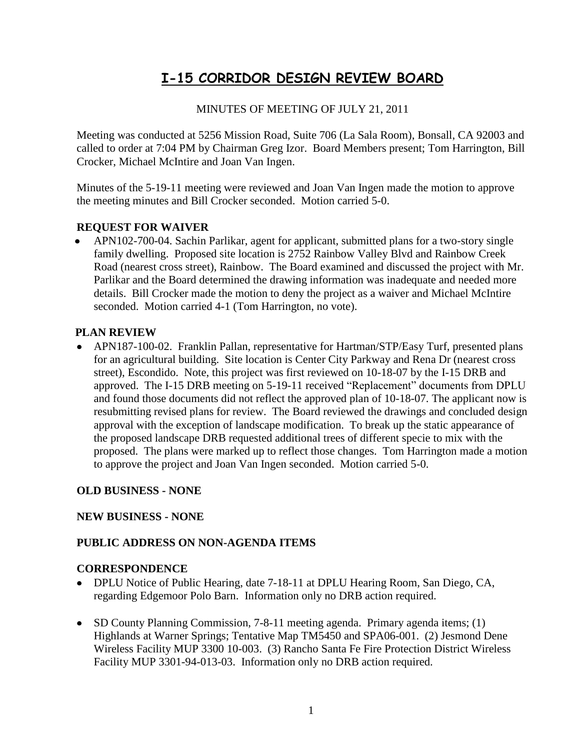# **I-15 CORRIDOR DESIGN REVIEW BOARD**

# MINUTES OF MEETING OF JULY 21, 2011

Meeting was conducted at 5256 Mission Road, Suite 706 (La Sala Room), Bonsall, CA 92003 and called to order at 7:04 PM by Chairman Greg Izor. Board Members present; Tom Harrington, Bill Crocker, Michael McIntire and Joan Van Ingen.

Minutes of the 5-19-11 meeting were reviewed and Joan Van Ingen made the motion to approve the meeting minutes and Bill Crocker seconded. Motion carried 5-0.

# **REQUEST FOR WAIVER**

 APN102-700-04. Sachin Parlikar, agent for applicant, submitted plans for a two-story single family dwelling. Proposed site location is 2752 Rainbow Valley Blvd and Rainbow Creek Road (nearest cross street), Rainbow. The Board examined and discussed the project with Mr. Parlikar and the Board determined the drawing information was inadequate and needed more details. Bill Crocker made the motion to deny the project as a waiver and Michael McIntire seconded. Motion carried 4-1 (Tom Harrington, no vote).

#### **PLAN REVIEW**

APN187-100-02. Franklin Pallan, representative for Hartman/STP/Easy Turf, presented plans for an agricultural building. Site location is Center City Parkway and Rena Dr (nearest cross street), Escondido. Note, this project was first reviewed on 10-18-07 by the I-15 DRB and approved. The I-15 DRB meeting on 5-19-11 received "Replacement" documents from DPLU and found those documents did not reflect the approved plan of 10-18-07. The applicant now is resubmitting revised plans for review. The Board reviewed the drawings and concluded design approval with the exception of landscape modification. To break up the static appearance of the proposed landscape DRB requested additional trees of different specie to mix with the proposed. The plans were marked up to reflect those changes. Tom Harrington made a motion to approve the project and Joan Van Ingen seconded. Motion carried 5-0.

#### **OLD BUSINESS - NONE**

#### **NEW BUSINESS - NONE**

#### **PUBLIC ADDRESS ON NON-AGENDA ITEMS**

#### **CORRESPONDENCE**

- DPLU Notice of Public Hearing, date 7-18-11 at DPLU Hearing Room, San Diego, CA, regarding Edgemoor Polo Barn. Information only no DRB action required.
- SD County Planning Commission, 7-8-11 meeting agenda. Primary agenda items; (1) Highlands at Warner Springs; Tentative Map TM5450 and SPA06-001. (2) Jesmond Dene Wireless Facility MUP 3300 10-003. (3) Rancho Santa Fe Fire Protection District Wireless Facility MUP 3301-94-013-03. Information only no DRB action required.